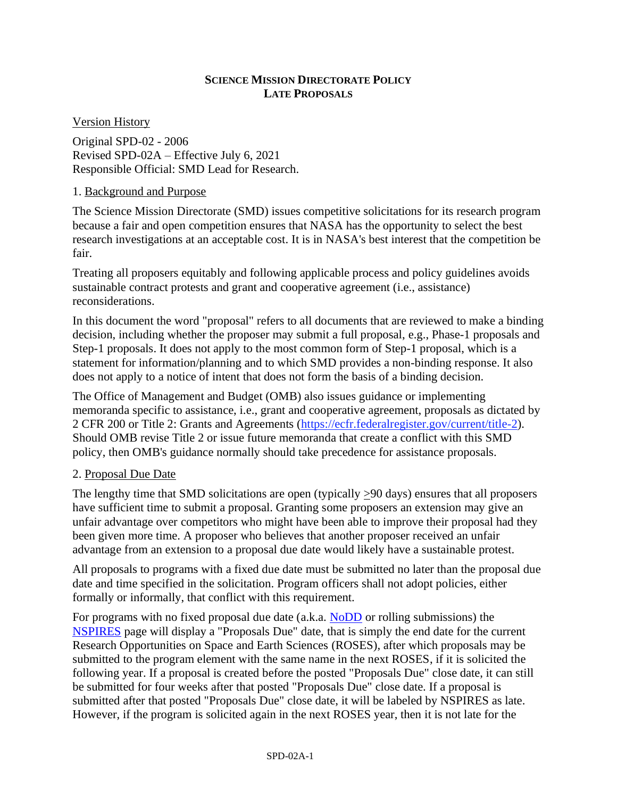#### **SCIENCE MISSION DIRECTORATE POLICY LATE PROPOSALS**

Version History

Original SPD-02 - 2006 Revised SPD-02A – Effective July 6, 2021 Responsible Official: SMD Lead for Research.

#### 1. Background and Purpose

The Science Mission Directorate (SMD) issues competitive solicitations for its research program because a fair and open competition ensures that NASA has the opportunity to select the best research investigations at an acceptable cost. It is in NASA's best interest that the competition be fair.

Treating all proposers equitably and following applicable process and policy guidelines avoids sustainable contract protests and grant and cooperative agreement (i.e., assistance) reconsiderations.

In this document the word "proposal" refers to all documents that are reviewed to make a binding decision, including whether the proposer may submit a full proposal, e.g., Phase-1 proposals and Step-1 proposals. It does not apply to the most common form of Step-1 proposal, which is a statement for information/planning and to which SMD provides a non-binding response. It also does not apply to a notice of intent that does not form the basis of a binding decision.

The Office of Management and Budget (OMB) also issues guidance or implementing memoranda specific to assistance, i.e., grant and cooperative agreement, proposals as dictated by 2 CFR 200 or Title 2: Grants and Agreements [\(https://ecfr.federalregister.gov/current/title-2\)](https://gcc02.safelinks.protection.outlook.com/?url=https%3A%2F%2Fecfr.federalregister.gov%2Fcurrent%2Ftitle-2&data=04%7C01%7Cmax.bernstein%40nasa.gov%7C3567fc527c7f4d92c25b08d92a878f13%7C7005d45845be48ae8140d43da96dd17b%7C0%7C0%7C637587583968242995%7CUnknown%7CTWFpbGZsb3d8eyJWIjoiMC4wLjAwMDAiLCJQIjoiV2luMzIiLCJBTiI6Ik1haWwiLCJXVCI6Mn0%3D%7C1000&sdata=%2FXh8t4VwfKiKgU5YLKZb0k3wW%2BI6MkabE%2BPmPrPYnHY%3D&reserved=0). Should OMB revise Title 2 or issue future memoranda that create a conflict with this SMD policy, then OMB's guidance normally should take precedence for assistance proposals.

#### 2. Proposal Due Date

The lengthy time that SMD solicitations are open (typically >90 days) ensures that all proposers have sufficient time to submit a proposal. Granting some proposers an extension may give an unfair advantage over competitors who might have been able to improve their proposal had they been given more time. A proposer who believes that another proposer received an unfair advantage from an extension to a proposal due date would likely have a sustainable protest.

All proposals to programs with a fixed due date must be submitted no later than the proposal due date and time specified in the solicitation. Program officers shall not adopt policies, either formally or informally, that conflict with this requirement.

For programs with no fixed proposal due date (a.k.a. [NoDD](https://science.nasa.gov/researchers/nodd) or rolling submissions) the [NSPIRES](https://nspires.nasaprs.com/) page will display a "Proposals Due" date, that is simply the end date for the current Research Opportunities on Space and Earth Sciences (ROSES), after which proposals may be submitted to the program element with the same name in the next ROSES, if it is solicited the following year. If a proposal is created before the posted "Proposals Due" close date, it can still be submitted for four weeks after that posted "Proposals Due" close date. If a proposal is submitted after that posted "Proposals Due" close date, it will be labeled by NSPIRES as late. However, if the program is solicited again in the next ROSES year, then it is not late for the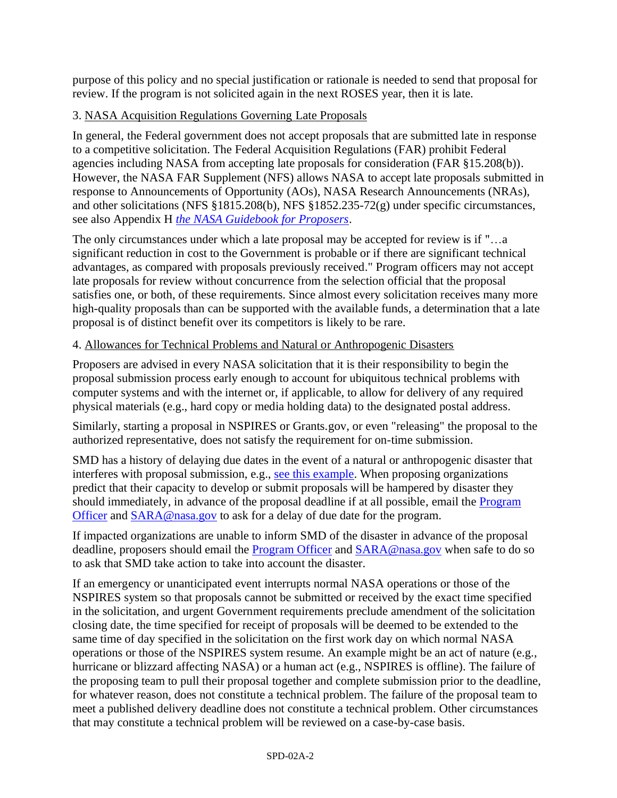purpose of this policy and no special justification or rationale is needed to send that proposal for review. If the program is not solicited again in the next ROSES year, then it is late.

# 3. NASA Acquisition Regulations Governing Late Proposals

. see also Appendix H *[the NASA Guidebook for Proposers](https://www.nasa.gov/offices/ocfo/gpc/regulations_and_guidance)* In general, the Federal government does not accept proposals that are submitted late in response to a competitive solicitation. The Federal Acquisition Regulations (FAR) prohibit Federal agencies including NASA from accepting late proposals for consideration (FAR §15.208(b)). However, the NASA FAR Supplement (NFS) allows NASA to accept late proposals submitted in response to Announcements of Opportunity (AOs), NASA Research Announcements (NRAs), and other solicitations (NFS §1815.208(b), NFS §1852.235-72(g) under specific circumstances,

The only circumstances under which a late proposal may be accepted for review is if "…a significant reduction in cost to the Government is probable or if there are significant technical advantages, as compared with proposals previously received." Program officers may not accept late proposals for review without concurrence from the selection official that the proposal satisfies one, or both, of these requirements. Since almost every solicitation receives many more high-quality proposals than can be supported with the available funds, a determination that a late proposal is of distinct benefit over its competitors is likely to be rare.

# 4. Allowances for Technical Problems and Natural or Anthropogenic Disasters

Proposers are advised in every NASA solicitation that it is their responsibility to begin the proposal submission process early enough to account for ubiquitous technical problems with computer systems and with the internet or, if applicable, to allow for delivery of any required physical materials (e.g., hard copy or media holding data) to the designated postal address.

Similarly, starting a proposal in NSPIRES or Grants.gov, or even "releasing" the proposal to the authorized representative, does not satisfy the requirement for on-time submission.

SMD has a history of delaying due dates in the event of a natural or anthropogenic disaster that interferes with proposal submission, e.g., [see this example.](https://science.nasa.gov/researchers/sara/grant-solicitations/roses-2020/amendment-89-c8-ldap-step-2-proposal-due-date-delayed-march-5-2021-due-widespread-power-loss) When proposing organizations predict that their capacity to develop or submit proposals will be hampered by disaster they should immediately, in advance of the proposal deadline if at all possible, email the [Program](https://science.nasa.gov/researchers/sara/program-officers-list/)  [Officer](https://science.nasa.gov/researchers/sara/program-officers-list/) and [SARA@nasa.gov](mailto:SARA@nasa.gov) to ask for a delay of due date for the program.

If impacted organizations are unable to inform SMD of the disaster in advance of the proposal deadline, proposers should email the [Program Officer](https://science.nasa.gov/researchers/sara/program-officers-list/) and [SARA@nasa.gov](mailto:SARA@nasa.gov) when safe to do so to ask that SMD take action to take into account the disaster.

If an emergency or unanticipated event interrupts normal NASA operations or those of the NSPIRES system so that proposals cannot be submitted or received by the exact time specified in the solicitation, and urgent Government requirements preclude amendment of the solicitation closing date, the time specified for receipt of proposals will be deemed to be extended to the same time of day specified in the solicitation on the first work day on which normal NASA operations or those of the NSPIRES system resume. An example might be an act of nature (e.g., hurricane or blizzard affecting NASA) or a human act (e.g., NSPIRES is offline). The failure of the proposing team to pull their proposal together and complete submission prior to the deadline, for whatever reason, does not constitute a technical problem. The failure of the proposal team to meet a published delivery deadline does not constitute a technical problem. Other circumstances that may constitute a technical problem will be reviewed on a case-by-case basis.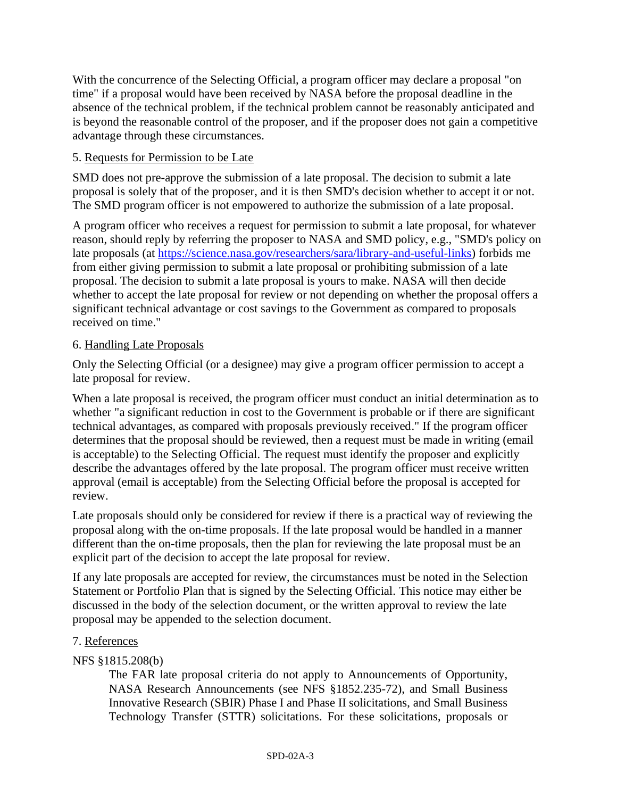With the concurrence of the Selecting Official, a program officer may declare a proposal "on time" if a proposal would have been received by NASA before the proposal deadline in the absence of the technical problem, if the technical problem cannot be reasonably anticipated and is beyond the reasonable control of the proposer, and if the proposer does not gain a competitive advantage through these circumstances.

## 5. Requests for Permission to be Late

SMD does not pre-approve the submission of a late proposal. The decision to submit a late proposal is solely that of the proposer, and it is then SMD's decision whether to accept it or not. The SMD program officer is not empowered to authorize the submission of a late proposal.

A program officer who receives a request for permission to submit a late proposal, for whatever reason, should reply by referring the proposer to NASA and SMD policy, e.g., "SMD's policy on late proposals (at [https://science.nasa.gov/researchers/sara/library-and-useful-links\)](https://science.nasa.gov/researchers/sara/library-and-useful-links) forbids me from either giving permission to submit a late proposal or prohibiting submission of a late proposal. The decision to submit a late proposal is yours to make. NASA will then decide whether to accept the late proposal for review or not depending on whether the proposal offers a significant technical advantage or cost savings to the Government as compared to proposals received on time."

# 6. Handling Late Proposals

Only the Selecting Official (or a designee) may give a program officer permission to accept a late proposal for review.

When a late proposal is received, the program officer must conduct an initial determination as to whether "a significant reduction in cost to the Government is probable or if there are significant technical advantages, as compared with proposals previously received." If the program officer determines that the proposal should be reviewed, then a request must be made in writing (email is acceptable) to the Selecting Official. The request must identify the proposer and explicitly describe the advantages offered by the late proposal. The program officer must receive written approval (email is acceptable) from the Selecting Official before the proposal is accepted for review.

Late proposals should only be considered for review if there is a practical way of reviewing the proposal along with the on-time proposals. If the late proposal would be handled in a manner different than the on-time proposals, then the plan for reviewing the late proposal must be an explicit part of the decision to accept the late proposal for review.

If any late proposals are accepted for review, the circumstances must be noted in the Selection Statement or Portfolio Plan that is signed by the Selecting Official. This notice may either be discussed in the body of the selection document, or the written approval to review the late proposal may be appended to the selection document.

## 7. References

## NFS §1815.208(b)

The FAR late proposal criteria do not apply to Announcements of Opportunity, NASA Research Announcements (see NFS §1852.235-72), and Small Business Innovative Research (SBIR) Phase I and Phase II solicitations, and Small Business Technology Transfer (STTR) solicitations. For these solicitations, proposals or